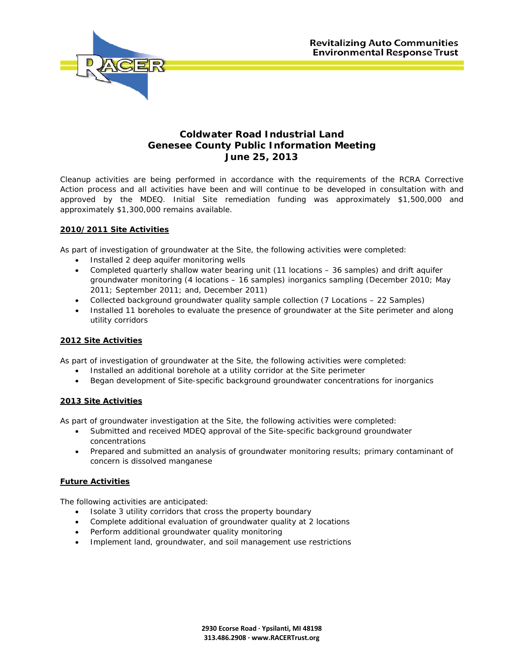

# **Coldwater Road Industrial Land Genesee County Public Information Meeting June 25, 2013**

Cleanup activities are being performed in accordance with the requirements of the RCRA Corrective Action process and all activities have been and will continue to be developed in consultation with and approved by the MDEQ. Initial Site remediation funding was approximately \$1,500,000 and approximately \$1,300,000 remains available.

## **2010/2011 Site Activities**

As part of investigation of groundwater at the Site, the following activities were completed:

- Installed 2 deep aquifer monitoring wells
- Completed quarterly shallow water bearing unit (11 locations 36 samples) and drift aquifer groundwater monitoring (4 locations – 16 samples) inorganics sampling (December 2010; May 2011; September 2011; and, December 2011)
- Collected background groundwater quality sample collection (7 Locations 22 Samples)
- Installed 11 boreholes to evaluate the presence of groundwater at the Site perimeter and along utility corridors

### **2012 Site Activities**

As part of investigation of groundwater at the Site, the following activities were completed:

- Installed an additional borehole at a utility corridor at the Site perimeter
- Began development of Site-specific background groundwater concentrations for inorganics

### **2013 Site Activities**

As part of groundwater investigation at the Site, the following activities were completed:

- Submitted and received MDEQ approval of the Site-specific background groundwater concentrations
- Prepared and submitted an analysis of groundwater monitoring results; primary contaminant of concern is dissolved manganese

### **Future Activities**

The following activities are anticipated:

- Isolate 3 utility corridors that cross the property boundary
- Complete additional evaluation of groundwater quality at 2 locations
- Perform additional groundwater quality monitoring
- Implement land, groundwater, and soil management use restrictions